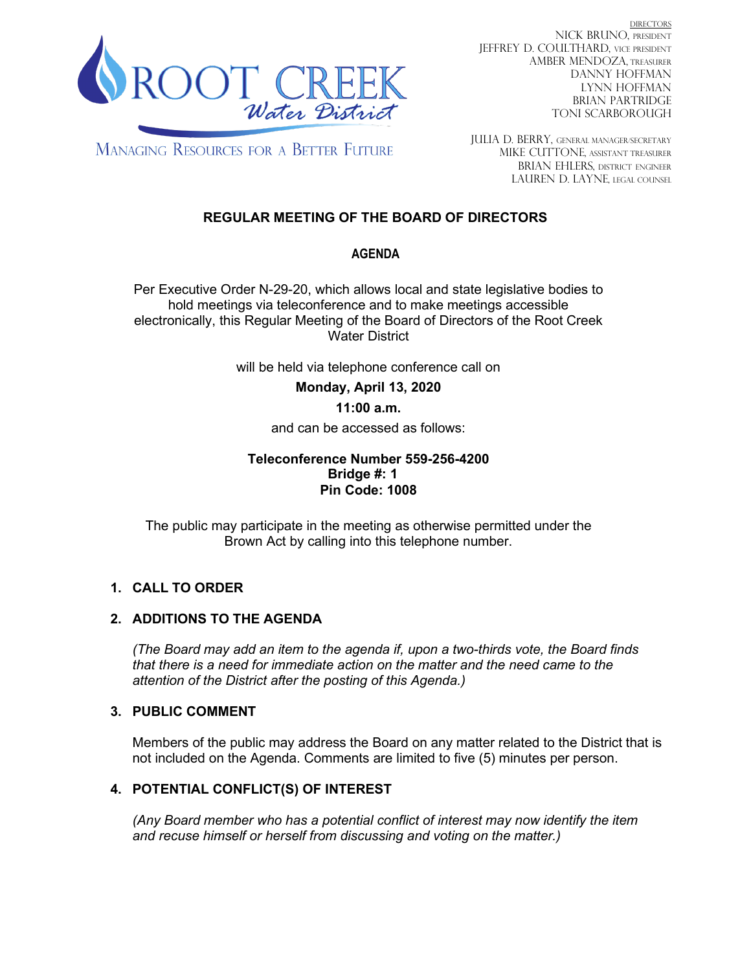

DIRECTORS NICK BRUNO, PRESIDENT JEFFREY D. COULTHARD, Vice President AMBER MENDOZA, TREASURER DANNY HOFFMAN LYNN HOFFMAN BRIAN PARTRIDGE TONI SCARBOROUGH

**MANAGING RESOURCES FOR A BETTER FUTURE** 

JULIA D. BERRY, GENERAL MANAGER/secretary MIKE CUTTONE, Assistant treasurer BRIAN EHLERS, DISTRICT ENGINEER LAUREN D. LAYNE, LEGAL COUNSEL

# **REGULAR MEETING OF THE BOARD OF DIRECTORS**

## **AGENDA**

Per Executive Order N-29-20, which allows local and state legislative bodies to hold meetings via teleconference and to make meetings accessible electronically, this Regular Meeting of the Board of Directors of the Root Creek Water District

will be held via telephone conference call on

**Monday, April 13, 2020** 

## **11:00 a.m.**

and can be accessed as follows:

#### **Teleconference Number 559-256-4200 Bridge #: 1 Pin Code: 1008**

The public may participate in the meeting as otherwise permitted under the Brown Act by calling into this telephone number.

## **1. CALL TO ORDER**

## **2. ADDITIONS TO THE AGENDA**

*(The Board may add an item to the agenda if, upon a two-thirds vote, the Board finds that there is a need for immediate action on the matter and the need came to the attention of the District after the posting of this Agenda.)*

## **3. PUBLIC COMMENT**

Members of the public may address the Board on any matter related to the District that is not included on the Agenda. Comments are limited to five (5) minutes per person.

## **4. POTENTIAL CONFLICT(S) OF INTEREST**

*(Any Board member who has a potential conflict of interest may now identify the item and recuse himself or herself from discussing and voting on the matter.)*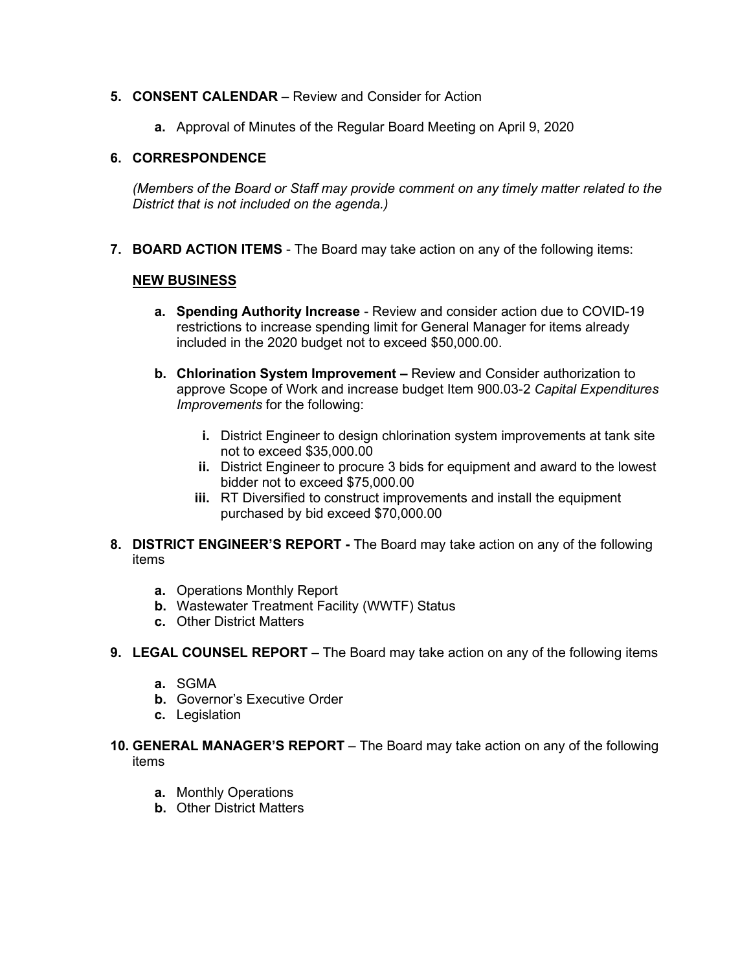#### **5. CONSENT CALENDAR** – Review and Consider for Action

**a.** Approval of Minutes of the Regular Board Meeting on April 9, 2020

#### **6. CORRESPONDENCE**

*(Members of the Board or Staff may provide comment on any timely matter related to the District that is not included on the agenda.)*

**7. BOARD ACTION ITEMS** - The Board may take action on any of the following items:

#### **NEW BUSINESS**

- **a. Spending Authority Increase** Review and consider action due to COVID-19 restrictions to increase spending limit for General Manager for items already included in the 2020 budget not to exceed \$50,000.00.
- **b. Chlorination System Improvement –** Review and Consider authorization to approve Scope of Work and increase budget Item 900.03-2 *Capital Expenditures Improvements* for the following:
	- **i.** District Engineer to design chlorination system improvements at tank site not to exceed \$35,000.00
	- **ii.** District Engineer to procure 3 bids for equipment and award to the lowest bidder not to exceed \$75,000.00
	- **iii.** RT Diversified to construct improvements and install the equipment purchased by bid exceed \$70,000.00
- **8. DISTRICT ENGINEER'S REPORT -** The Board may take action on any of the following items
	- **a.** Operations Monthly Report
	- **b.** Wastewater Treatment Facility (WWTF) Status
	- **c.** Other District Matters
- **9. LEGAL COUNSEL REPORT** The Board may take action on any of the following items
	- **a.** SGMA
	- **b.** Governor's Executive Order
	- **c.** Legislation
- **10. GENERAL MANAGER'S REPORT** The Board may take action on any of the following items
	- **a.** Monthly Operations
	- **b.** Other District Matters